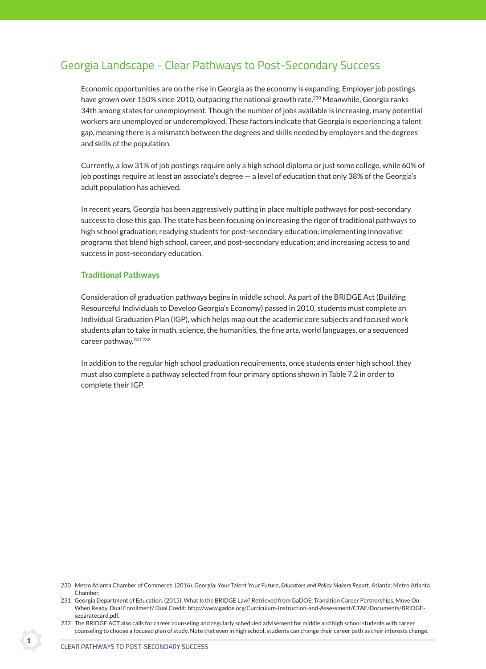# Georgia Landscape - Clear Pathways to Post-Secondary Success

 Economic opportunities are on the rise in Georgia as the economy is expanding. Employer job postings have grown over 150% since 2010, outpacing the national growth rate.<sup>230</sup> Meanwhile, Georgia ranks 34th among states for unemployment. Though the number of jobs available is increasing, many potential workers are unemployed or underemployed. These factors indicate that Georgia is experiencing a talent gap, meaning there is a mismatch between the degrees and skills needed by employers and the degrees and skills of the population.

 Currently, a low 31% of job postings require only a high school diploma or just some college, while 60% of job postings require at least an associate's degree — a level of education that only 38% of the Georgia's adult population has achieved.

 In recent years, Georgia has been aggressively putting in place multiple pathways for post-secondary success to close this gap. The state has been focusing on increasing the rigor of traditional pathways to high school graduation; readying students for post-secondary education; implementing innovative programs that blend high school, career, and post-secondary education; and increasing access to and success in post-secondary education.

## Traditional Pathways

 Consideration of graduation pathways begins in middle school. As part of the BRIDGE Act (Building Resourceful Individuals to Develop Georgia's Economy) passed in 2010, students must complete an Individual Graduation Plan (IGP), which helps map out the academic core subjects and focused work students plan to take in math, science, the humanities, the fine arts, world languages, or a sequenced career pathway.231,232

 In addition to the regular high school graduation requirements, once students enter high school, they must also complete a pathway selected from four primary options shown in Table 7.2 in order to complete their IGP.

<sup>230</sup> Metro Atlanta Chamber of Commerce. (2016). Georgia: Your Talent Your Future, *Educators and Policy Makers Report.* Atlanta: Metro Atlanta Chamber.

<sup>231</sup> Georgia Department of Education. (2015). What Is the BRIDGE Law? Retrieved from GaDOE, Transition Career Partnerships, Move On When Ready, Dual Enrollment/ Dual Credit: http://www.gadoe.org/Curriculum-Instruction-and-Assessment/CTAE/Documents/BRIDGEseparatecard.pdf.

<sup>232</sup> The BRIDGE ACT also calls for career counseling and regularly scheduled advisement for middle and high school students with career counseling to choose a focused plan of study. Note that even in high school, students can change their career path as their interests change.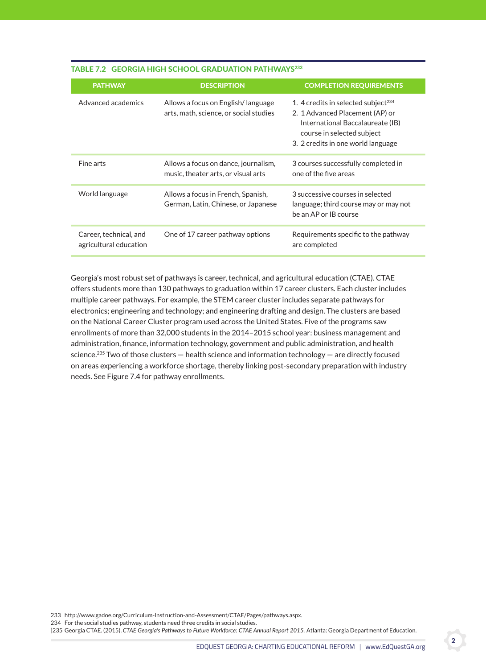| <b>PATHWAY</b>                                   | <b>DESCRIPTION</b>                                                           | <b>COMPLETION REQUIREMENTS</b>                                                                                                                                                             |
|--------------------------------------------------|------------------------------------------------------------------------------|--------------------------------------------------------------------------------------------------------------------------------------------------------------------------------------------|
| Advanced academics                               | Allows a focus on English/language<br>arts, math, science, or social studies | 1. 4 credits in selected subject <sup>234</sup><br>2. 1 Advanced Placement (AP) or<br>International Baccalaureate (IB)<br>course in selected subject<br>3. 2 credits in one world language |
| Fine arts                                        | Allows a focus on dance, journalism,<br>music, theater arts, or visual arts  | 3 courses successfully completed in<br>one of the five areas                                                                                                                               |
| World language                                   | Allows a focus in French, Spanish,<br>German, Latin, Chinese, or Japanese    | 3 successive courses in selected<br>language; third course may or may not<br>be an AP or IB course                                                                                         |
| Career, technical, and<br>agricultural education | One of 17 career pathway options                                             | Requirements specific to the pathway<br>are completed                                                                                                                                      |

## TABLE 7.2 GEORGIA HIGH SCHOOL GRADUATION PATHWAYS<sup>233</sup>

 Georgia's most robust set of pathways is career, technical, and agricultural education (CTAE). CTAE offers students more than 130 pathways to graduation within 17 career clusters. Each cluster includes multiple career pathways. For example, the STEM career cluster includes separate pathways for electronics; engineering and technology; and engineering drafting and design. The clusters are based on the National Career Cluster program used across the United States. Five of the programs saw enrollments of more than 32,000 students in the 2014–2015 school year: business management and administration, finance, information technology, government and public administration, and health science.<sup>235</sup> Two of those clusters  $-$  health science and information technology  $-$  are directly focused on areas experiencing a workforce shortage, thereby linking post-secondary preparation with industry needs. See Figure 7.4 for pathway enrollments.

233 http://www.gadoe.org/Curriculum-Instruction-and-Assessment/CTAE/Pages/pathways.aspx.

234 For the social studies pathway, students need three credits in social studies.

[235 Georgia CTAE. (2015). CTAE Georgia's Pathways to Future Workforce: CTAE Annual Report 2015. Atlanta: Georgia Department of Education.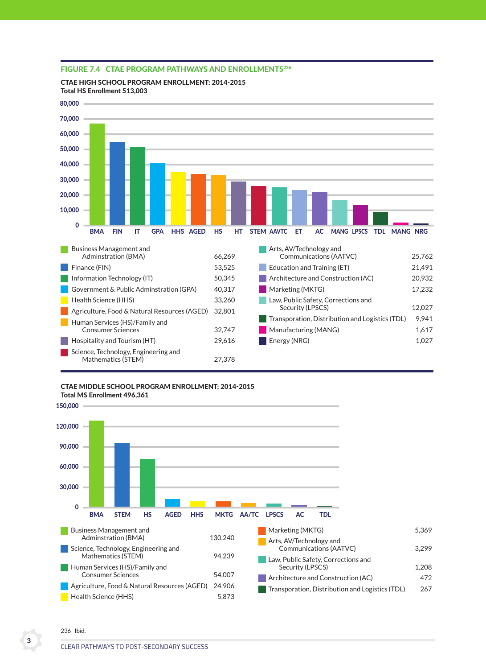

## FIGURE 7.4 CTAE PROGRAM PATHWAYS AND ENROLLMENTS<sup>236</sup>

cTae HigH scHool PrograM enrollMenT: 2014-2015 Total HS Enrollment 513,003

#### cTae Middle scHool PrograM enrollMenT: 2014-2015

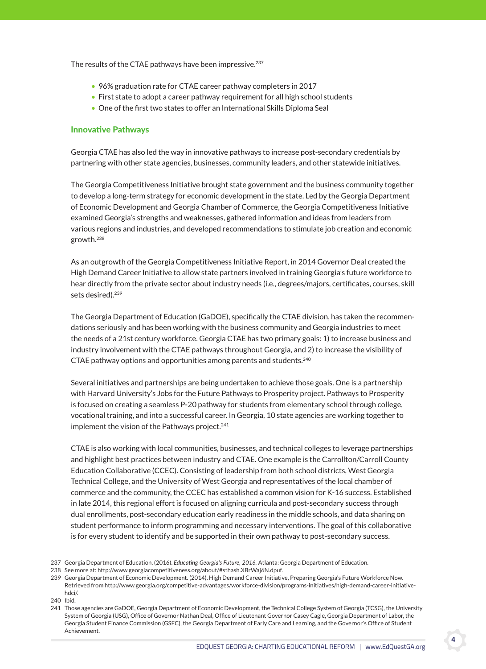The results of the CTAE pathways have been impressive.<sup>237</sup>

- 96% graduation rate for CTAE career pathway completers in 2017
- First state to adopt a career pathway requirement for all high school students
- One of the first two states to offer an International Skills Diploma Seal

## innovative Pathways

 Georgia CTAE has also led the way in innovative pathways to increase post-secondary credentials by partnering with other state agencies, businesses, community leaders, and other statewide initiatives.

 The Georgia Competitiveness Initiative brought state government and the business community together to develop a long-term strategy for economic development in the state. Led by the Georgia Department of Economic Development and Georgia Chamber of Commerce, the Georgia Competitiveness Initiative examined Georgia's strengths and weaknesses, gathered information and ideas from leaders from various regions and industries, and developed recommendations to stimulate job creation and economic growth.238

 As an outgrowth of the Georgia Competitiveness Initiative Report, in 2014 Governor Deal created the High Demand Career Initiative to allow state partners involved in training Georgia's future workforce to hear directly from the private sector about industry needs (i.e., degrees/majors, certificates, courses, skill sets desired).<sup>239</sup>

 The Georgia Department of Education (GaDOE), specifically the CTAE division, has taken the recommendations seriously and has been working with the business community and Georgia industries to meet the needs of a 21st century workforce. Georgia CTAE has two primary goals: 1) to increase business and industry involvement with the CTAE pathways throughout Georgia, and 2) to increase the visibility of CTAE pathway options and opportunities among parents and students.<sup>240</sup>

 Several initiatives and partnerships are being undertaken to achieve those goals. One is a partnership with Harvard University's Jobs for the Future Pathways to Prosperity project. Pathways to Prosperity is focused on creating a seamless P-20 pathway for students from elementary school through college, vocational training, and into a successful career. In Georgia, 10 state agencies are working together to implement the vision of the Pathways project.<sup>241</sup>

 CTAE is also working with local communities, businesses, and technical colleges to leverage partnerships and highlight best practices between industry and CTAE. One example is the Carrollton/Carroll County Education Collaborative (CCEC). Consisting of leadership from both school districts, West Georgia Technical College, and the University of West Georgia and representatives of the local chamber of commerce and the community, the CCEC has established a common vision for K-16 success. Established in late 2014, this regional effort is focused on aligning curricula and post-secondary success through dual enrollments, post-secondary education early readiness in the middle schools, and data sharing on student performance to inform programming and necessary interventions. The goal of this collaborative is for every student to identify and be supported in their own pathway to post-secondary success.

- 237 Georgia Department of Education. (2016). *Educating Georgia's Future, 2016.* Atlanta: Georgia Department of Education.
- 238 See more at: http://www.georgiacompetitiveness.org/about/#sthash.XBrWaj6N.dpuf.
- 239 Georgia Department of Economic Development. (2014). High Demand Career Initiative, Preparing Georgia's Future Workforce Now. Retrieved from http://www.georgia.org/competitive-advantages/workforce-division/programs-initiatives/high-demand-career-initiativehdci/.
- 240 Ibid.

<sup>241</sup> Those agencies are GaDOE, Georgia Department of Economic Development, the Technical College System of Georgia (TCSG), the University System of Georgia (USG), Office of Governor Nathan Deal, Office of Lieutenant Governor Casey Cagle, Georgia Department of Labor, the Georgia Student Finance Commission (GSFC), the Georgia Department of Early Care and Learning, and the Governor's Office of Student Achievement.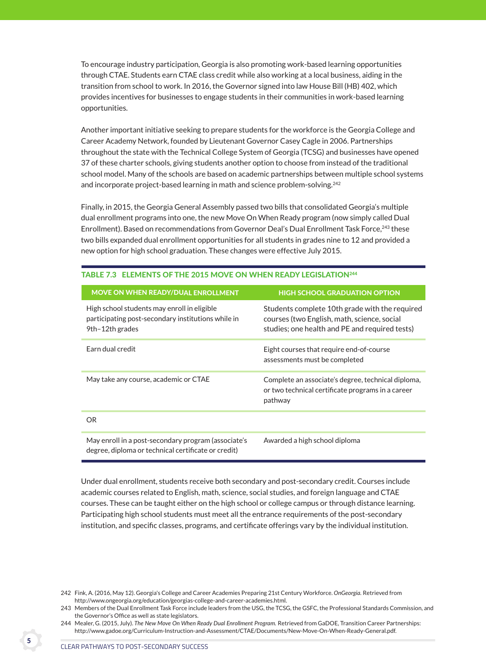To encourage industry participation, Georgia is also promoting work-based learning opportunities through CTAE. Students earn CTAE class credit while also working at a local business, aiding in the transition from school to work. In 2016, the Governor signed into law House Bill (HB) 402, which provides incentives for businesses to engage students in their communities in work-based learning opportunities.

 Another important initiative seeking to prepare students for the workforce is the Georgia College and Career Academy Network, founded by Lieutenant Governor Casey Cagle in 2006. Partnerships throughout the state with the Technical College System of Georgia (TCSG) and businesses have opened 37 of these charter schools, giving students another option to choose from instead of the traditional school model. Many of the schools are based on academic partnerships between multiple school systems and incorporate project-based learning in math and science problem-solving.<sup>242</sup>

 Finally, in 2015, the Georgia General Assembly passed two bills that consolidated Georgia's multiple dual enrollment programs into one, the new Move On When Ready program (now simply called Dual Enrollment). Based on recommendations from Governor Deal's Dual Enrollment Task Force, <sup>243</sup> these two bills expanded dual enrollment opportunities for all students in grades nine to 12 and provided a new option for high school graduation. These changes were effective July 2015.

| MOVE ON WHEN READY/DUAL ENROLLMENT                                                                                   | <b>HIGH SCHOOL GRADUATION OPTION</b>                                                                                                            |
|----------------------------------------------------------------------------------------------------------------------|-------------------------------------------------------------------------------------------------------------------------------------------------|
| High school students may enroll in eligible<br>participating post-secondary institutions while in<br>9th-12th grades | Students complete 10th grade with the required<br>courses (two English, math, science, social<br>studies; one health and PE and required tests) |
| Earn dual credit                                                                                                     | Eight courses that require end-of-course<br>assessments must be completed                                                                       |
| May take any course, academic or CTAE                                                                                | Complete an associate's degree, technical diploma,<br>or two technical certificate programs in a career<br>pathway                              |
| OR.                                                                                                                  |                                                                                                                                                 |
| May enroll in a post-secondary program (associate's<br>degree, diploma or technical certificate or credit)           | Awarded a high school diploma                                                                                                                   |

# TABLE 7.3 ELEMENTS OF THE 2015 MOVE ON WHEN READY LEGISLATION<sup>244</sup>

 Under dual enrollment, students receive both secondary and post-secondary credit. Courses include academic courses related to English, math, science, social studies, and foreign language and CTAE courses. These can be taught either on the high school or college campus or through distance learning. Participating high school students must meet all the entrance requirements of the post-secondary institution, and specific classes, programs, and certificate offerings vary by the individual institution.

<sup>242</sup> Fink, A. (2016, May 12). Georgia's College and Career Academies Preparing 21st Century Workforce. *OnGeorgia.* Retrieved from http://www.ongeorgia.org/education/georgias-college-and-career-academies.html.

<sup>243</sup> Members of the Dual Enrollment Task Force include leaders from the USG, the TCSG, the GSFC, the Professional Standards Commission, and the Governor's Office as well as state legislators.

<sup>244</sup> Mealer, G. (2015, July). *The New Move On When Ready Dual Enrollment Program*. Retrieved from GaDOE, Transition Career Partnerships: http://www.gadoe.org/Curriculum-Instruction-and-Assessment/CTAE/Documents/New-Move-On-When-Ready-General.pdf.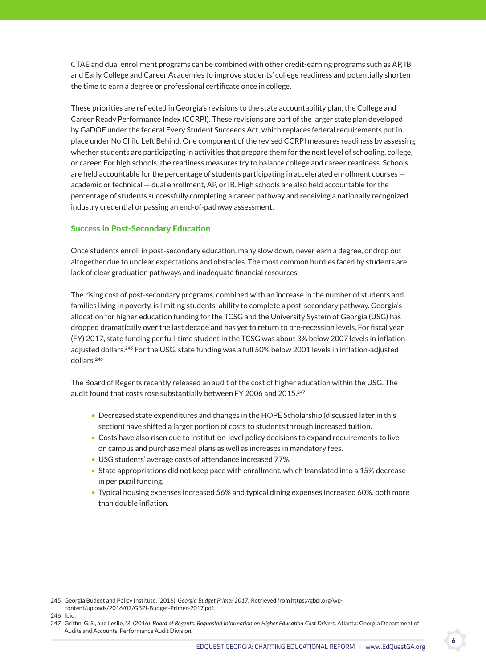CTAE and dual enrollment programs can be combined with other credit-earning programs such as AP, IB, and Early College and Career Academies to improve students' college readiness and potentially shorten the time to earn a degree or professional certificate once in college.

 These priorities are reflected in Georgia's revisions to the state accountability plan, the College and Career Ready Performance Index (CCRPI). These revisions are part of the larger state plan developed by GaDOE under the federal Every Student Succeeds Act, which replaces federal requirements put in place under No Child Left Behind. One component of the revised CCRPI measures readiness by assessing whether students are participating in activities that prepare them for the next level of schooling, college, or career. For high schools, the readiness measures try to balance college and career readiness. Schools are held accountable for the percentage of students participating in accelerated enrollment courses academic or technical — dual enrollment, AP, or IB. High schools are also held accountable for the percentage of students successfully completing a career pathway and receiving a nationally recognized industry credential or passing an end-of-pathway assessment.

## **Success in Post-Secondary Education**

 Once students enroll in post-secondary education, many slow down, never earn a degree, or drop out altogether due to unclear expectations and obstacles. The most common hurdles faced by students are lack of clear graduation pathways and inadequate financial resources.

 The rising cost of post-secondary programs, combined with an increase in the number of students and families living in poverty, is limiting students' ability to complete a post-secondary pathway. Georgia's allocation for higher education funding for the TCSG and the University System of Georgia (USG) has dropped dramatically over the last decade and has yet to return to pre-recession levels. For fiscal year (FY) 2017, state funding per full-time student in the TCSG was about 3% below 2007 levels in inflationadjusted dollars.245 For the USG, state funding was a full 50% below 2001 levels in inflation-adjusted dollars.246

 The Board of Regents recently released an audit of the cost of higher education within the USG. The audit found that costs rose substantially between FY 2006 and 2015.<sup>247</sup>

- Decreased state expenditures and changes in the HOPE Scholarship (discussed later in this section) have shifted a larger portion of costs to students through increased tuition.
- Costs have also risen due to institution-level policy decisions to expand requirements to live on campus and purchase meal plans as well as increases in mandatory fees.
- USG students' average costs of attendance increased 77%.
- State appropriations did not keep pace with enrollment, which translated into a 15% decrease in per pupil funding.
- Typical housing expenses increased 56% and typical dining expenses increased 60%, both more than double inflation.

<sup>245</sup> Georgia Budget and Policy Institute. (2016). *Georgia Budget Primer 2017.* Retrieved from https://gbpi.org/wpcontent/uploads/2016/07/GBPI-Budget-Primer-2017.pdf.

<sup>246</sup> Ibid.

<sup>247</sup> Griffin, G. S., and Leslie, M. (2016). *Board of Regents: Requested Information on Higher Education Cost Drivers.* Atlanta: Georgia Department of Audits and Accounts, Performance Audit Division.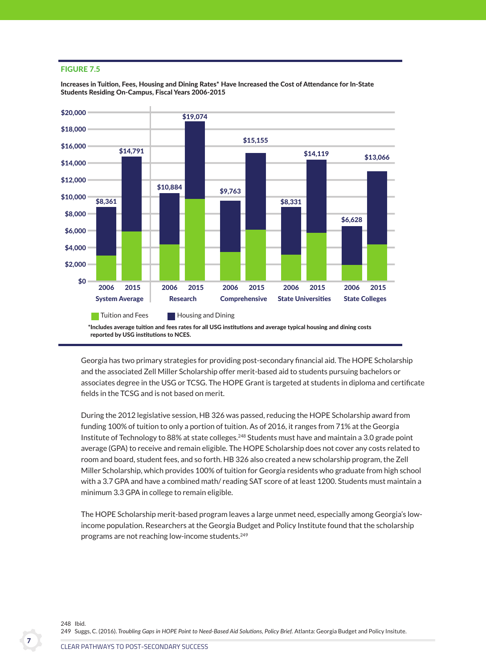#### Figure 7.5

Increases in Tuition, Fees, Housing and Dining Rates\* Have Increased the Cost of Attendance for In-State Students Residing On-Campus, Fiscal Years 2006-2015



 Georgia has two primary strategies for providing post-secondary financial aid. The HOPE Scholarship and the associated Zell Miller Scholarship offer merit-based aid to students pursuing bachelors or associates degree in the USG or TCSG. The HOPE Grant is targeted at students in diploma and certificate fields in the TCSG and is not based on merit.

 During the 2012 legislative session, HB 326 was passed, reducing the HOPE Scholarship award from funding 100% of tuition to only a portion of tuition. As of 2016, it ranges from 71% at the Georgia Institute of Technology to 88% at state colleges.<sup>248</sup> Students must have and maintain a 3.0 grade point average (GPA) to receive and remain eligible. The HOPE Scholarship does not cover any costs related to room and board, student fees, and so forth. HB 326 also created a new scholarship program, the Zell Miller Scholarship, which provides 100% of tuition for Georgia residents who graduate from high school with a 3.7 GPA and have a combined math/ reading SAT score of at least 1200. Students must maintain a minimum 3.3 GPA in college to remain eligible.

 The HOPE Scholarship merit-based program leaves a large unmet need, especially among Georgia's lowincome population. Researchers at the Georgia Budget and Policy Institute found that the scholarship programs are not reaching low-income students.249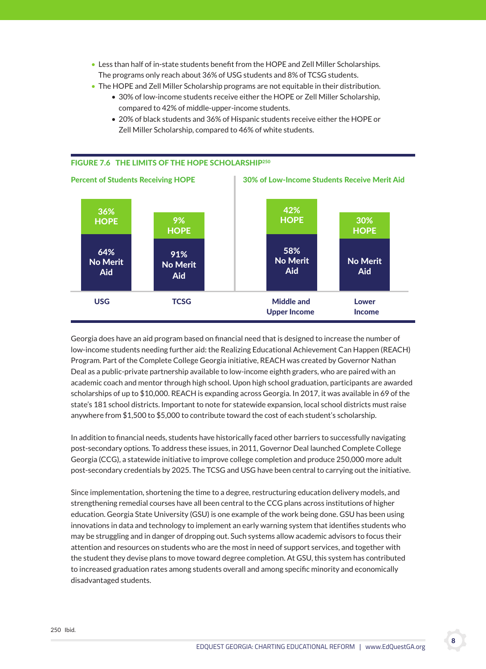- Less than half of in-state students benefit from the HOPE and Zell Miller Scholarships. The programs only reach about 36% of USG students and 8% of TCSG students.
- The HOPE and Zell Miller Scholarship programs are not equitable in their distribution.
	- 30% of low-income students receive either the HOPE or Zell Miller Scholarship, compared to 42% of middle-upper-income students.
	- 20% of black students and 36% of Hispanic students receive either the HOPE or Zell Miller Scholarship, compared to 46% of white students.



 Georgia does have an aid program based on financial need that is designed to increase the number of low-income students needing further aid: the Realizing Educational Achievement Can Happen (REACH) Program. Part of the Complete College Georgia initiative, REACH was created by Governor Nathan Deal as a public-private partnership available to low-income eighth graders, who are paired with an academic coach and mentor through high school. Upon high school graduation, participants are awarded scholarships of up to \$10,000. REACH is expanding across Georgia. In 2017, it was available in 69 of the state's 181 school districts. Important to note for statewide expansion, local school districts must raise anywhere from \$1,500 to \$5,000 to contribute toward the cost of each student's scholarship.

 In addition to financial needs, students have historically faced other barriers to successfully navigating post-secondary options. To address these issues, in 2011, Governor Deal launched Complete College Georgia (CCG), a statewide initiative to improve college completion and produce 250,000 more adult post-secondary credentials by 2025. The TCSG and USG have been central to carrying out the initiative.

 Since implementation, shortening the time to a degree, restructuring education delivery models, and strengthening remedial courses have all been central to the CCG plans across institutions of higher education. Georgia State University (GSU) is one example of the work being done. GSU has been using innovations in data and technology to implement an early warning system that identifies students who may be struggling and in danger of dropping out. Such systems allow academic advisors to focus their attention and resources on students who are the most in need of support services, and together with the student they devise plans to move toward degree completion. At GSU, this system has contributed to increased graduation rates among students overall and among specific minority and economically disadvantaged students.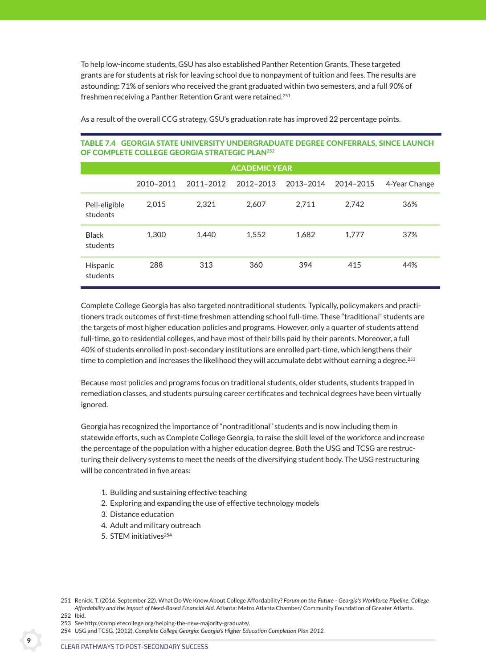To help low-income students, GSU has also established Panther Retention Grants. These targeted grants are for students at risk for leaving school due to nonpayment of tuition and fees. The results are astounding: 71% of seniors who received the grant graduated within two semesters, and a full 90% of freshmen receiving a Panther Retention Grant were retained.<sup>251</sup>

| <b>ACADEMIC YEAR</b>      |           |           |           |           |           |               |  |  |
|---------------------------|-----------|-----------|-----------|-----------|-----------|---------------|--|--|
|                           | 2010-2011 | 2011-2012 | 2012-2013 | 2013-2014 | 2014-2015 | 4-Year Change |  |  |
| Pell-eligible<br>students | 2,015     | 2,321     | 2,607     | 2,711     | 2,742     | 36%           |  |  |
| <b>Black</b><br>students  | 1.300     | 1,440     | 1,552     | 1,682     | 1.777     | 37%           |  |  |
| Hispanic<br>students      | 288       | 313       | 360       | 394       | 415       | 44%           |  |  |

As a result of the overall CCG strategy, GSU's graduation rate has improved 22 percentage points.

# Table 7.4 georgia sTaTe universiTy undergraduaTe degree conFerrals, since launcH oF coMPleTe college georgia sTraTegic Plan252

 Complete College Georgia has also targeted nontraditional students. Typically, policymakers and practitioners track outcomes of first-time freshmen attending school full-time. These "traditional" students are the targets of most higher education policies and programs. However, only a quarter of students attend full-time, go to residential colleges, and have most of their bills paid by their parents. Moreover, a full 40% of students enrolled in post-secondary institutions are enrolled part-time, which lengthens their time to completion and increases the likelihood they will accumulate debt without earning a degree.<sup>253</sup>

 Because most policies and programs focus on traditional students, older students, students trapped in remediation classes, and students pursuing career certificates and technical degrees have been virtually ignored.

 Georgia has recognized the importance of "nontraditional" students and is now including them in statewide efforts, such as Complete College Georgia, to raise the skill level of the workforce and increase the percentage of the population with a higher education degree. Both the USG and TCSG are restructuring their delivery systems to meet the needs of the diversifying student body. The USG restructuring will be concentrated in five areas:

- 1. Building and sustaining effective teaching
- 2. Exploring and expanding the use of effective technology models
- 3. Distance education
- 4. Adult and military outreach
- 5. STEM initiatives<sup>254</sup>

- 253 See http://completecollege.org/helping-the-new-majority-graduate/.
- 254 USG and TCSG. (2012). *Complete College Georgia: Georgia's Higher Education Completion Plan 2012.*

<sup>251</sup> Renick, T. (2016, September 22). What Do We Know About College Affordability? *Forum on the Future - Georgia's Workforce Pipeline, College Affordability and the Impact of Need-Based Financial Aid.* Atlanta: Metro Atlanta Chamber/ Community Foundation of Greater Atlanta. 252 Ibid.